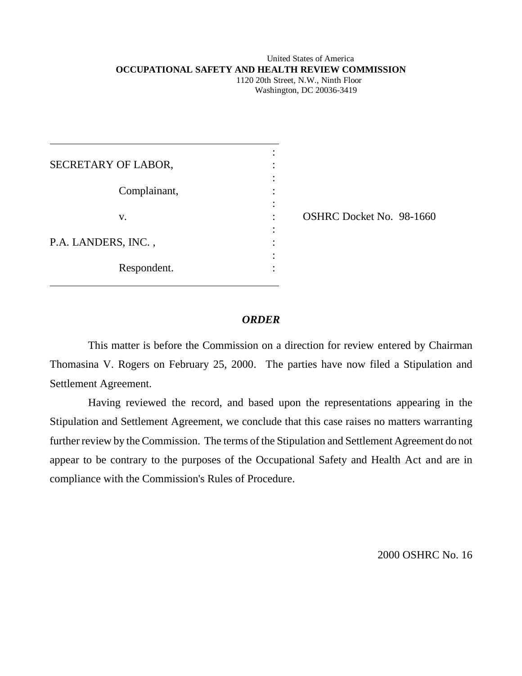## United States of America **OCCUPATIONAL SAFETY AND HEALTH REVIEW COMMISSION**

 1120 20th Street, N.W., Ninth Floor Washington, DC 20036-3419

| SECRETARY OF LABOR, |  |
|---------------------|--|
| Complainant,        |  |
| V.                  |  |
| P.A. LANDERS, INC., |  |
| Respondent.         |  |

 $\overline{a}$ 

OSHRC Docket No. 98-1660

# *ORDER*

This matter is before the Commission on a direction for review entered by Chairman Thomasina V. Rogers on February 25, 2000. The parties have now filed a Stipulation and Settlement Agreement.

Having reviewed the record, and based upon the representations appearing in the Stipulation and Settlement Agreement, we conclude that this case raises no matters warranting further review by the Commission. The terms of the Stipulation and Settlement Agreement do not appear to be contrary to the purposes of the Occupational Safety and Health Act and are in compliance with the Commission's Rules of Procedure.

2000 OSHRC No. 16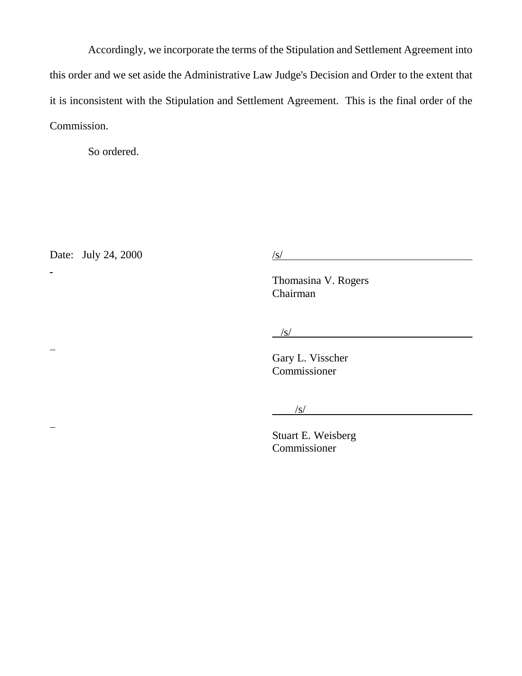Accordingly, we incorporate the terms of the Stipulation and Settlement Agreement into this order and we set aside the Administrative Law Judge's Decision and Order to the extent that it is inconsistent with the Stipulation and Settlement Agreement. This is the final order of the Commission.

So ordered.

Date: July 24, 2000  $/s/$ 

-

 $\mathbf{r}$ 

 $\overline{\phantom{0}}$ 

Thomasina V. Rogers Chairman

 $\frac{1}{s}$ /s/

Gary L. Visscher Commissioner

/s/

Stuart E. Weisberg Commissioner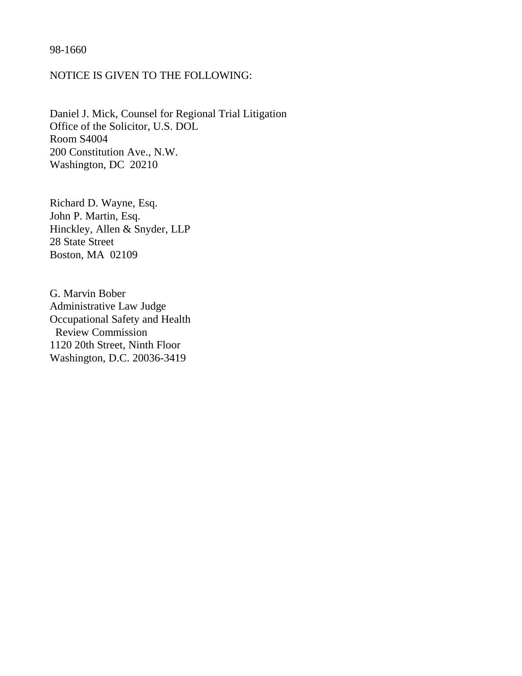# 98-1660

# NOTICE IS GIVEN TO THE FOLLOWING:

Daniel J. Mick, Counsel for Regional Trial Litigation Office of the Solicitor, U.S. DOL Room S4004 200 Constitution Ave., N.W. Washington, DC 20210

Richard D. Wayne, Esq. John P. Martin, Esq. Hinckley, Allen & Snyder, LLP 28 State Street Boston, MA 02109

G. Marvin Bober Administrative Law Judge Occupational Safety and Health Review Commission 1120 20th Street, Ninth Floor Washington, D.C. 20036-3419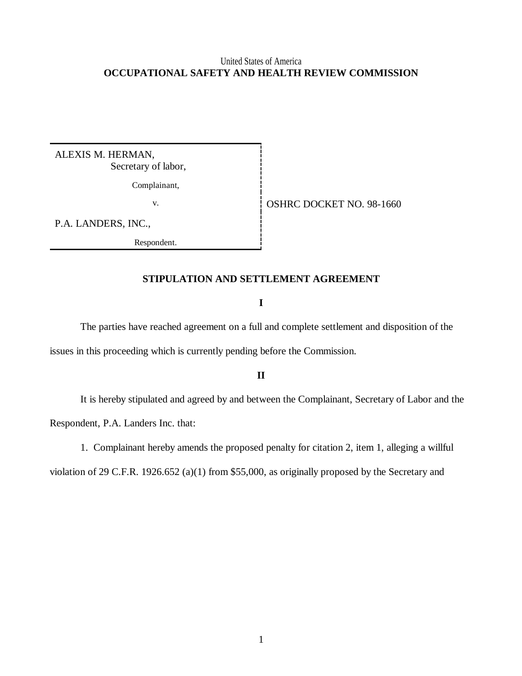# United States of America **OCCUPATIONAL SAFETY AND HEALTH REVIEW COMMISSION**

ALEXIS M. HERMAN, Secretary of labor,

Complainant,

v. Same **OSHRC DOCKET NO. 98-1660** 

P.A. LANDERS, INC.,

Respondent.

## **STIPULATION AND SETTLEMENT AGREEMENT**

**I**

The parties have reached agreement on a full and complete settlement and disposition of the issues in this proceeding which is currently pending before the Commission.

**II**

It is hereby stipulated and agreed by and between the Complainant, Secretary of Labor and the Respondent, P.A. Landers Inc. that:

1. Complainant hereby amends the proposed penalty for citation 2, item 1, alleging a willful

violation of 29 C.F.R. 1926.652 (a)(1) from \$55,000, as originally proposed by the Secretary and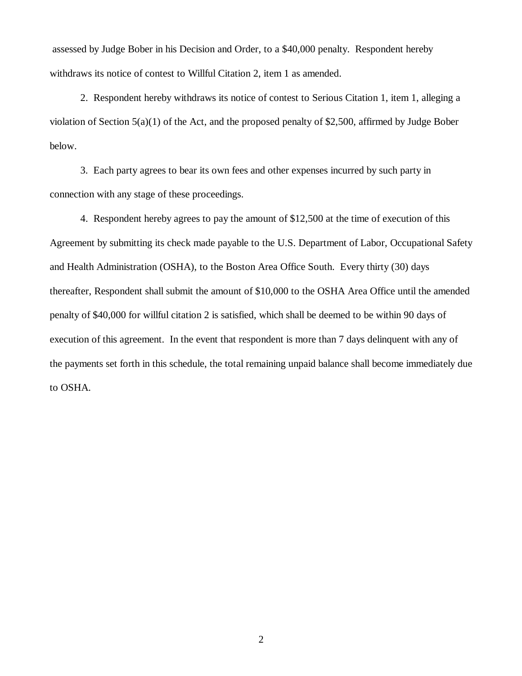assessed by Judge Bober in his Decision and Order, to a \$40,000 penalty. Respondent hereby withdraws its notice of contest to Willful Citation 2, item 1 as amended.

2. Respondent hereby withdraws its notice of contest to Serious Citation 1, item 1, alleging a violation of Section 5(a)(1) of the Act, and the proposed penalty of \$2,500, affirmed by Judge Bober below.

3. Each party agrees to bear its own fees and other expenses incurred by such party in connection with any stage of these proceedings.

4. Respondent hereby agrees to pay the amount of \$12,500 at the time of execution of this Agreement by submitting its check made payable to the U.S. Department of Labor, Occupational Safety and Health Administration (OSHA), to the Boston Area Office South. Every thirty (30) days thereafter, Respondent shall submit the amount of \$10,000 to the OSHA Area Office until the amended penalty of \$40,000 for willful citation 2 is satisfied, which shall be deemed to be within 90 days of execution of this agreement. In the event that respondent is more than 7 days delinquent with any of the payments set forth in this schedule, the total remaining unpaid balance shall become immediately due to OSHA.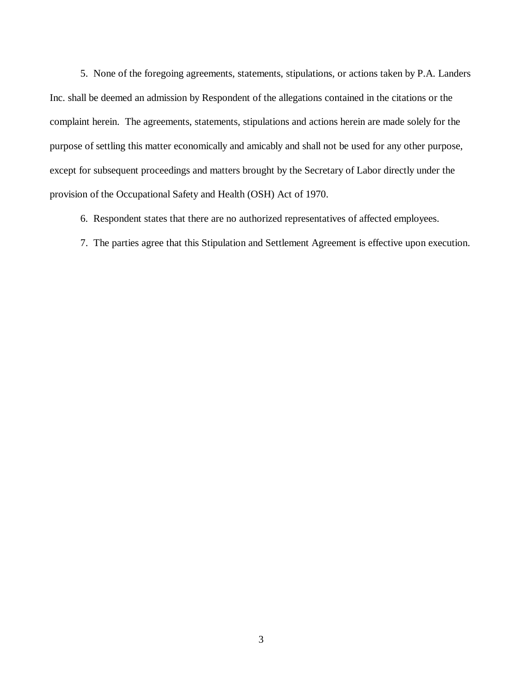5. None of the foregoing agreements, statements, stipulations, or actions taken by P.A. Landers Inc. shall be deemed an admission by Respondent of the allegations contained in the citations or the complaint herein. The agreements, statements, stipulations and actions herein are made solely for the purpose of settling this matter economically and amicably and shall not be used for any other purpose, except for subsequent proceedings and matters brought by the Secretary of Labor directly under the provision of the Occupational Safety and Health (OSH) Act of 1970.

6. Respondent states that there are no authorized representatives of affected employees.

7. The parties agree that this Stipulation and Settlement Agreement is effective upon execution.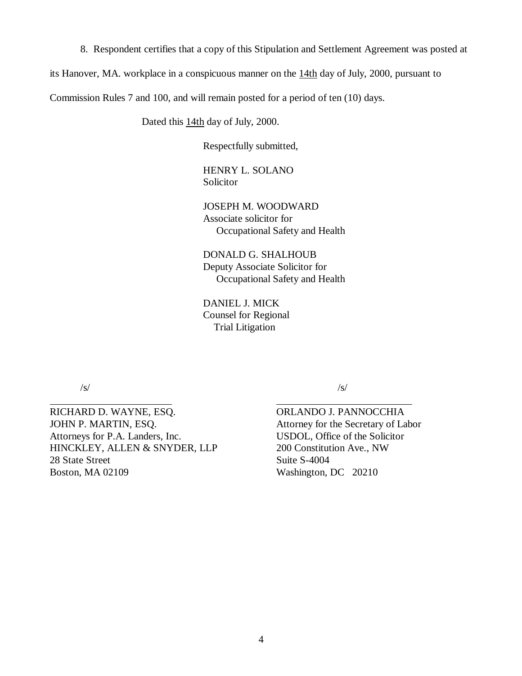8. Respondent certifies that a copy of this Stipulation and Settlement Agreement was posted at

its Hanover, MA. workplace in a conspicuous manner on the 14th day of July, 2000, pursuant to

Commission Rules 7 and 100, and will remain posted for a period of ten (10) days.

Dated this 14th day of July, 2000.

Respectfully submitted,

HENRY L. SOLANO Solicitor

JOSEPH M. WOODWARD Associate solicitor for Occupational Safety and Health

DONALD G. SHALHOUB Deputy Associate Solicitor for Occupational Safety and Health

 $\overline{a}$ 

DANIEL J. MICK Counsel for Regional Trial Litigation

/s/

 $\overline{a}$ 

RICHARD D. WAYNE, ESQ. JOHN P. MARTIN, ESQ. Attorneys for P.A. Landers, Inc. HINCKLEY, ALLEN & SNYDER, LLP 28 State Street Boston, MA 02109

/s/

ORLANDO J. PANNOCCHIA Attorney for the Secretary of Labor USDOL, Office of the Solicitor 200 Constitution Ave., NW Suite S-4004 Washington, DC 20210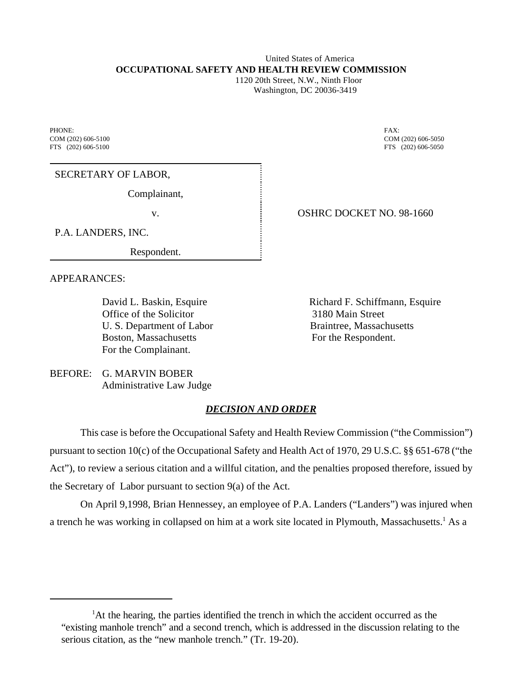### United States of America **OCCUPATIONAL SAFETY AND HEALTH REVIEW COMMISSION**

 1120 20th Street, N.W., Ninth Floor Washington, DC 20036-3419

PHONE: FAX: COM (202) 606-5100 COM (202) 606-5050 FTS (202) 606-5100 FTS (202) 606-5100

SECRETARY OF LABOR,

Complainant,

P.A. LANDERS, INC.

Respondent.

APPEARANCES:

Office of the Solicitor 3180 Main Street U. S. Department of Labor Braintree, Massachusetts Boston, Massachusetts For the Respondent. For the Complainant.

v. Same School State Concept Concept Concept 1660

David L. Baskin, Esquire **Richard F. Schiffmann**, Esquire

BEFORE: G. MARVIN BOBER Administrative Law Judge

# *DECISION AND ORDER*

This case is before the Occupational Safety and Health Review Commission ("the Commission") pursuant to section 10(c) of the Occupational Safety and Health Act of 1970, 29 U.S.C. §§ 651-678 ("the Act"), to review a serious citation and a willful citation, and the penalties proposed therefore, issued by the Secretary of Labor pursuant to section 9(a) of the Act.

On April 9,1998, Brian Hennessey, an employee of P.A. Landers ("Landers") was injured when a trench he was working in collapsed on him at a work site located in Plymouth, Massachusetts.<sup>1</sup> As a

<sup>&</sup>lt;sup>1</sup>At the hearing, the parties identified the trench in which the accident occurred as the "existing manhole trench" and a second trench, which is addressed in the discussion relating to the serious citation, as the "new manhole trench." (Tr. 19-20).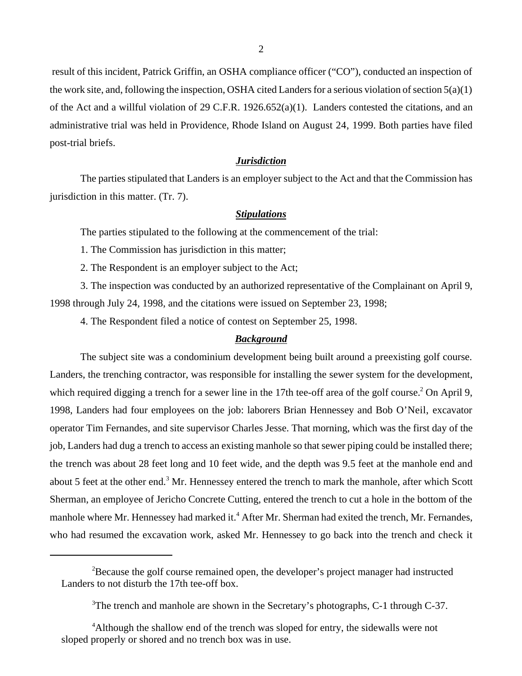result of this incident, Patrick Griffin, an OSHA compliance officer ("CO"), conducted an inspection of the work site, and, following the inspection, OSHA cited Landers for a serious violation of section  $5(a)(1)$ of the Act and a willful violation of 29 C.F.R. 1926.652(a)(1). Landers contested the citations, and an administrative trial was held in Providence, Rhode Island on August 24, 1999. Both parties have filed post-trial briefs.

## *Jurisdiction*

The parties stipulated that Landers is an employer subject to the Act and that the Commission has jurisdiction in this matter. (Tr. 7).

#### *Stipulations*

The parties stipulated to the following at the commencement of the trial:

1. The Commission has jurisdiction in this matter;

2. The Respondent is an employer subject to the Act;

3. The inspection was conducted by an authorized representative of the Complainant on April 9, 1998 through July 24, 1998, and the citations were issued on September 23, 1998;

4. The Respondent filed a notice of contest on September 25, 1998.

## *Background*

The subject site was a condominium development being built around a preexisting golf course. Landers, the trenching contractor, was responsible for installing the sewer system for the development, which required digging a trench for a sewer line in the 17th tee-off area of the golf course.<sup>2</sup> On April 9, 1998, Landers had four employees on the job: laborers Brian Hennessey and Bob O'Neil, excavator operator Tim Fernandes, and site supervisor Charles Jesse. That morning, which was the first day of the job, Landers had dug a trench to access an existing manhole so that sewer piping could be installed there; the trench was about 28 feet long and 10 feet wide, and the depth was 9.5 feet at the manhole end and about 5 feet at the other end.<sup>3</sup> Mr. Hennessey entered the trench to mark the manhole, after which Scott Sherman, an employee of Jericho Concrete Cutting, entered the trench to cut a hole in the bottom of the manhole where Mr. Hennessey had marked it.<sup>4</sup> After Mr. Sherman had exited the trench, Mr. Fernandes, who had resumed the excavation work, asked Mr. Hennessey to go back into the trench and check it

 $2B$  Because the golf course remained open, the developer's project manager had instructed Landers to not disturb the 17th tee-off box.

<sup>&</sup>lt;sup>3</sup>The trench and manhole are shown in the Secretary's photographs, C-1 through C-37.

<sup>&</sup>lt;sup>4</sup>Although the shallow end of the trench was sloped for entry, the sidewalls were not sloped properly or shored and no trench box was in use.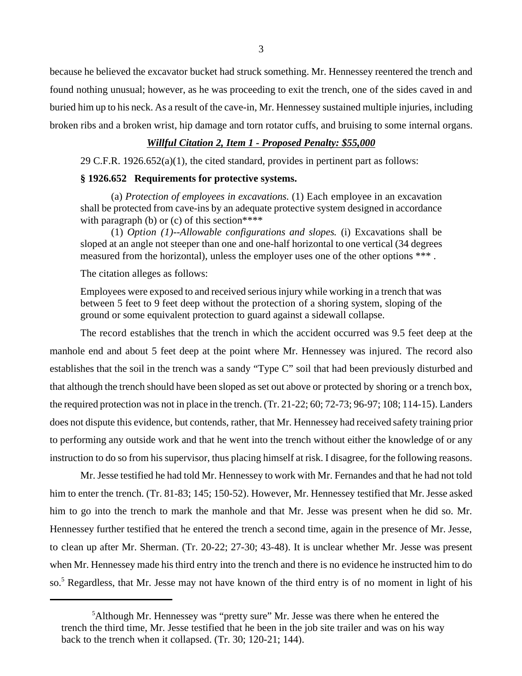because he believed the excavator bucket had struck something. Mr. Hennessey reentered the trench and found nothing unusual; however, as he was proceeding to exit the trench, one of the sides caved in and buried him up to his neck. As a result of the cave-in, Mr. Hennessey sustained multiple injuries, including broken ribs and a broken wrist, hip damage and torn rotator cuffs, and bruising to some internal organs.

## *Willful Citation 2, Item 1 - Proposed Penalty: \$55,000*

29 C.F.R. 1926.652(a)(1), the cited standard, provides in pertinent part as follows:

## **§ 1926.652 Requirements for protective systems.**

(a) *Protection of employees in excavations*. (1) Each employee in an excavation shall be protected from cave-ins by an adequate protective system designed in accordance with paragraph (b) or  $(c)$  of this section\*\*\*\*

(1) *Option (1)--Allowable configurations and slopes.* (i) Excavations shall be sloped at an angle not steeper than one and one-half horizontal to one vertical (34 degrees measured from the horizontal), unless the employer uses one of the other options \*\*\* .

The citation alleges as follows:

Employees were exposed to and received serious injury while working in a trench that was between 5 feet to 9 feet deep without the protection of a shoring system, sloping of the ground or some equivalent protection to guard against a sidewall collapse.

The record establishes that the trench in which the accident occurred was 9.5 feet deep at the manhole end and about 5 feet deep at the point where Mr. Hennessey was injured. The record also establishes that the soil in the trench was a sandy "Type C" soil that had been previously disturbed and that although the trench should have been sloped as set out above or protected by shoring or a trench box, the required protection was not in place in the trench. (Tr. 21-22; 60; 72-73; 96-97; 108; 114-15). Landers does not dispute this evidence, but contends, rather, that Mr. Hennessey had received safety training prior to performing any outside work and that he went into the trench without either the knowledge of or any instruction to do so from his supervisor, thus placing himself at risk. I disagree, for the following reasons.

Mr. Jesse testified he had told Mr. Hennessey to work with Mr. Fernandes and that he had not told him to enter the trench. (Tr. 81-83; 145; 150-52). However, Mr. Hennessey testified that Mr. Jesse asked him to go into the trench to mark the manhole and that Mr. Jesse was present when he did so. Mr. Hennessey further testified that he entered the trench a second time, again in the presence of Mr. Jesse, to clean up after Mr. Sherman. (Tr. 20-22; 27-30; 43-48). It is unclear whether Mr. Jesse was present when Mr. Hennessey made his third entry into the trench and there is no evidence he instructed him to do so.<sup>5</sup> Regardless, that Mr. Jesse may not have known of the third entry is of no moment in light of his

<sup>&</sup>lt;sup>5</sup>Although Mr. Hennessey was "pretty sure" Mr. Jesse was there when he entered the trench the third time, Mr. Jesse testified that he been in the job site trailer and was on his way back to the trench when it collapsed. (Tr. 30; 120-21; 144).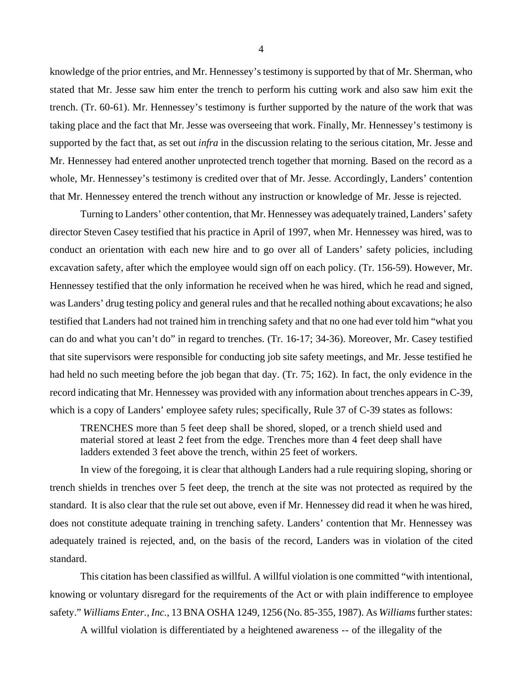knowledge of the prior entries, and Mr. Hennessey's testimony is supported by that of Mr. Sherman, who stated that Mr. Jesse saw him enter the trench to perform his cutting work and also saw him exit the trench. (Tr. 60-61). Mr. Hennessey's testimony is further supported by the nature of the work that was taking place and the fact that Mr. Jesse was overseeing that work. Finally, Mr. Hennessey's testimony is supported by the fact that, as set out *infra* in the discussion relating to the serious citation, Mr. Jesse and Mr. Hennessey had entered another unprotected trench together that morning. Based on the record as a whole, Mr. Hennessey's testimony is credited over that of Mr. Jesse. Accordingly, Landers' contention that Mr. Hennessey entered the trench without any instruction or knowledge of Mr. Jesse is rejected.

Turning to Landers' other contention, that Mr. Hennessey was adequately trained, Landers' safety director Steven Casey testified that his practice in April of 1997, when Mr. Hennessey was hired, was to conduct an orientation with each new hire and to go over all of Landers' safety policies, including excavation safety, after which the employee would sign off on each policy. (Tr. 156-59). However, Mr. Hennessey testified that the only information he received when he was hired, which he read and signed, was Landers' drug testing policy and general rules and that he recalled nothing about excavations; he also testified that Landers had not trained him in trenching safety and that no one had ever told him "what you can do and what you can't do" in regard to trenches. (Tr. 16-17; 34-36). Moreover, Mr. Casey testified that site supervisors were responsible for conducting job site safety meetings, and Mr. Jesse testified he had held no such meeting before the job began that day. (Tr. 75; 162). In fact, the only evidence in the record indicating that Mr. Hennessey was provided with any information about trenches appears in C-39, which is a copy of Landers' employee safety rules; specifically, Rule 37 of C-39 states as follows:

TRENCHES more than 5 feet deep shall be shored, sloped, or a trench shield used and material stored at least 2 feet from the edge. Trenches more than 4 feet deep shall have ladders extended 3 feet above the trench, within 25 feet of workers.

In view of the foregoing, it is clear that although Landers had a rule requiring sloping, shoring or trench shields in trenches over 5 feet deep, the trench at the site was not protected as required by the standard. It is also clear that the rule set out above, even if Mr. Hennessey did read it when he was hired, does not constitute adequate training in trenching safety. Landers' contention that Mr. Hennessey was adequately trained is rejected, and, on the basis of the record, Landers was in violation of the cited standard.

This citation has been classified as willful. A willful violation is one committed "with intentional, knowing or voluntary disregard for the requirements of the Act or with plain indifference to employee safety." *Williams Enter., Inc.*, 13 BNA OSHA 1249, 1256 (No. 85-355, 1987). As *Williams* further states:

A willful violation is differentiated by a heightened awareness -- of the illegality of the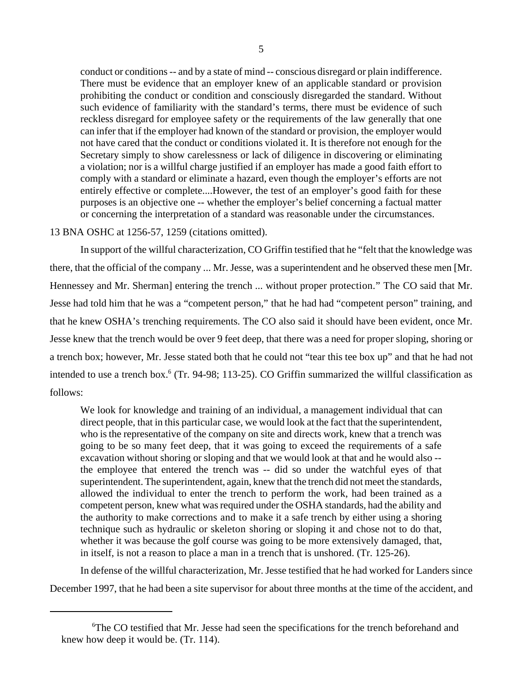conduct or conditions -- and by a state of mind -- conscious disregard or plain indifference. There must be evidence that an employer knew of an applicable standard or provision prohibiting the conduct or condition and consciously disregarded the standard. Without such evidence of familiarity with the standard's terms, there must be evidence of such reckless disregard for employee safety or the requirements of the law generally that one can infer that if the employer had known of the standard or provision, the employer would not have cared that the conduct or conditions violated it. It is therefore not enough for the Secretary simply to show carelessness or lack of diligence in discovering or eliminating a violation; nor is a willful charge justified if an employer has made a good faith effort to comply with a standard or eliminate a hazard, even though the employer's efforts are not entirely effective or complete....However, the test of an employer's good faith for these purposes is an objective one -- whether the employer's belief concerning a factual matter or concerning the interpretation of a standard was reasonable under the circumstances.

## 13 BNA OSHC at 1256-57, 1259 (citations omitted).

In support of the willful characterization, CO Griffin testified that he "felt that the knowledge was there, that the official of the company ... Mr. Jesse, was a superintendent and he observed these men [Mr. Hennessey and Mr. Sherman] entering the trench ... without proper protection." The CO said that Mr. Jesse had told him that he was a "competent person," that he had had "competent person" training, and that he knew OSHA's trenching requirements. The CO also said it should have been evident, once Mr. Jesse knew that the trench would be over 9 feet deep, that there was a need for proper sloping, shoring or a trench box; however, Mr. Jesse stated both that he could not "tear this tee box up" and that he had not intended to use a trench box.<sup>6</sup> (Tr. 94-98; 113-25). CO Griffin summarized the willful classification as follows:

We look for knowledge and training of an individual, a management individual that can direct people, that in this particular case, we would look at the fact that the superintendent, who is the representative of the company on site and directs work, knew that a trench was going to be so many feet deep, that it was going to exceed the requirements of a safe excavation without shoring or sloping and that we would look at that and he would also - the employee that entered the trench was -- did so under the watchful eyes of that superintendent. The superintendent, again, knew that the trench did not meet the standards, allowed the individual to enter the trench to perform the work, had been trained as a competent person, knew what was required under the OSHA standards, had the ability and the authority to make corrections and to make it a safe trench by either using a shoring technique such as hydraulic or skeleton shoring or sloping it and chose not to do that, whether it was because the golf course was going to be more extensively damaged, that, in itself, is not a reason to place a man in a trench that is unshored. (Tr. 125-26).

In defense of the willful characterization, Mr. Jesse testified that he had worked for Landers since December 1997, that he had been a site supervisor for about three months at the time of the accident, and

<sup>6</sup> The CO testified that Mr. Jesse had seen the specifications for the trench beforehand and knew how deep it would be. (Tr. 114).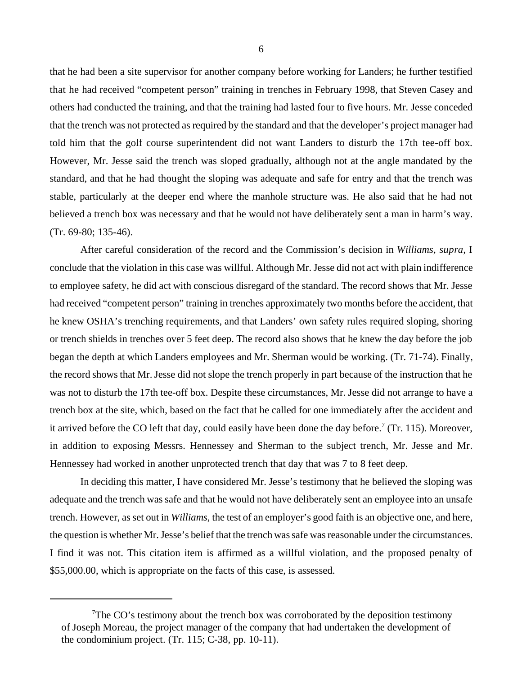that he had been a site supervisor for another company before working for Landers; he further testified that he had received "competent person" training in trenches in February 1998, that Steven Casey and others had conducted the training, and that the training had lasted four to five hours. Mr. Jesse conceded that the trench was not protected as required by the standard and that the developer's project manager had told him that the golf course superintendent did not want Landers to disturb the 17th tee-off box. However, Mr. Jesse said the trench was sloped gradually, although not at the angle mandated by the standard, and that he had thought the sloping was adequate and safe for entry and that the trench was stable, particularly at the deeper end where the manhole structure was. He also said that he had not believed a trench box was necessary and that he would not have deliberately sent a man in harm's way. (Tr. 69-80; 135-46).

After careful consideration of the record and the Commission's decision in *Williams, supra,* I conclude that the violation in this case was willful. Although Mr. Jesse did not act with plain indifference to employee safety, he did act with conscious disregard of the standard. The record shows that Mr. Jesse had received "competent person" training in trenches approximately two months before the accident, that he knew OSHA's trenching requirements, and that Landers' own safety rules required sloping, shoring or trench shields in trenches over 5 feet deep. The record also shows that he knew the day before the job began the depth at which Landers employees and Mr. Sherman would be working. (Tr. 71-74). Finally, the record shows that Mr. Jesse did not slope the trench properly in part because of the instruction that he was not to disturb the 17th tee-off box. Despite these circumstances, Mr. Jesse did not arrange to have a trench box at the site, which, based on the fact that he called for one immediately after the accident and it arrived before the CO left that day, could easily have been done the day before.<sup>7</sup> (Tr. 115). Moreover, in addition to exposing Messrs. Hennessey and Sherman to the subject trench, Mr. Jesse and Mr. Hennessey had worked in another unprotected trench that day that was 7 to 8 feet deep.

In deciding this matter, I have considered Mr. Jesse's testimony that he believed the sloping was adequate and the trench was safe and that he would not have deliberately sent an employee into an unsafe trench. However, as set out in *Williams*, the test of an employer's good faith is an objective one, and here, the question is whether Mr. Jesse's belief that the trench was safe was reasonable under the circumstances. I find it was not. This citation item is affirmed as a willful violation, and the proposed penalty of \$55,000.00, which is appropriate on the facts of this case, is assessed.

 $7$ The CO's testimony about the trench box was corroborated by the deposition testimony of Joseph Moreau, the project manager of the company that had undertaken the development of the condominium project. (Tr. 115; C-38, pp. 10-11).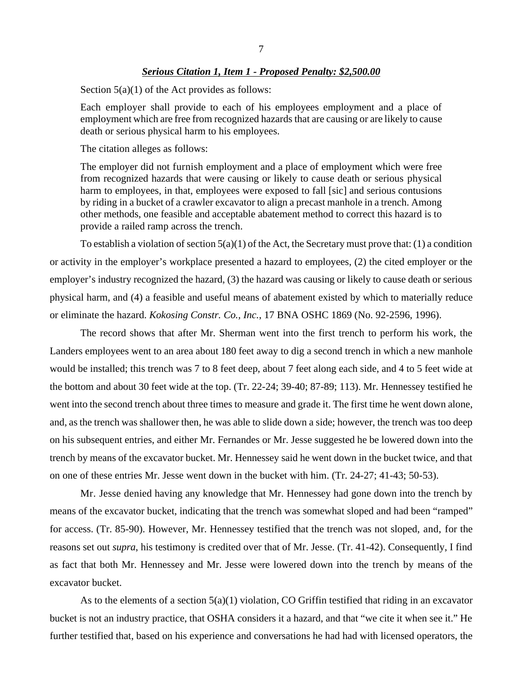#### *Serious Citation 1, Item 1 - Proposed Penalty: \$2,500.00*

Section  $5(a)(1)$  of the Act provides as follows:

Each employer shall provide to each of his employees employment and a place of employment which are free from recognized hazards that are causing or are likely to cause death or serious physical harm to his employees.

The citation alleges as follows:

The employer did not furnish employment and a place of employment which were free from recognized hazards that were causing or likely to cause death or serious physical harm to employees, in that, employees were exposed to fall [sic] and serious contusions by riding in a bucket of a crawler excavator to align a precast manhole in a trench. Among other methods, one feasible and acceptable abatement method to correct this hazard is to provide a railed ramp across the trench.

To establish a violation of section  $5(a)(1)$  of the Act, the Secretary must prove that: (1) a condition or activity in the employer's workplace presented a hazard to employees, (2) the cited employer or the employer's industry recognized the hazard, (3) the hazard was causing or likely to cause death or serious physical harm, and (4) a feasible and useful means of abatement existed by which to materially reduce or eliminate the hazard. *Kokosing Constr. Co., Inc.*, 17 BNA OSHC 1869 (No. 92-2596, 1996).

The record shows that after Mr. Sherman went into the first trench to perform his work, the Landers employees went to an area about 180 feet away to dig a second trench in which a new manhole would be installed; this trench was 7 to 8 feet deep, about 7 feet along each side, and 4 to 5 feet wide at the bottom and about 30 feet wide at the top. (Tr. 22-24; 39-40; 87-89; 113). Mr. Hennessey testified he went into the second trench about three times to measure and grade it. The first time he went down alone, and, as the trench was shallower then, he was able to slide down a side; however, the trench was too deep on his subsequent entries, and either Mr. Fernandes or Mr. Jesse suggested he be lowered down into the trench by means of the excavator bucket. Mr. Hennessey said he went down in the bucket twice, and that on one of these entries Mr. Jesse went down in the bucket with him. (Tr. 24-27; 41-43; 50-53).

Mr. Jesse denied having any knowledge that Mr. Hennessey had gone down into the trench by means of the excavator bucket, indicating that the trench was somewhat sloped and had been "ramped" for access. (Tr. 85-90). However, Mr. Hennessey testified that the trench was not sloped, and, for the reasons set out *supra*, his testimony is credited over that of Mr. Jesse. (Tr. 41-42). Consequently, I find as fact that both Mr. Hennessey and Mr. Jesse were lowered down into the trench by means of the excavator bucket.

As to the elements of a section 5(a)(1) violation, CO Griffin testified that riding in an excavator bucket is not an industry practice, that OSHA considers it a hazard, and that "we cite it when see it." He further testified that, based on his experience and conversations he had had with licensed operators, the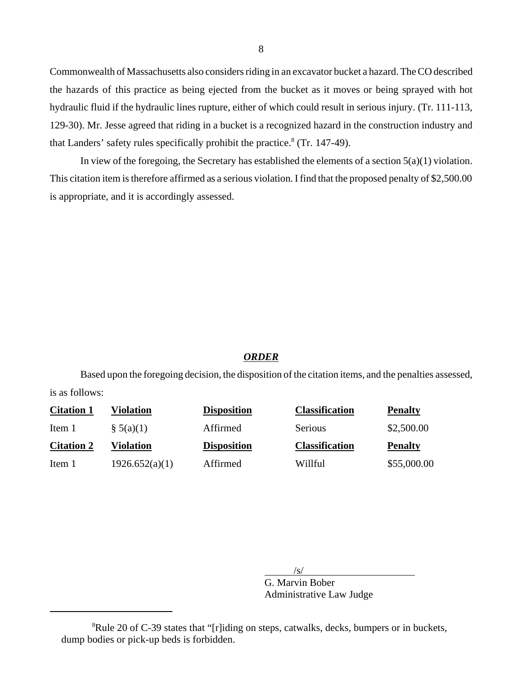Commonwealth of Massachusetts also considers riding in an excavator bucket a hazard. The CO described the hazards of this practice as being ejected from the bucket as it moves or being sprayed with hot hydraulic fluid if the hydraulic lines rupture, either of which could result in serious injury. (Tr. 111-113, 129-30). Mr. Jesse agreed that riding in a bucket is a recognized hazard in the construction industry and that Landers' safety rules specifically prohibit the practice.<sup>8</sup> (Tr. 147-49).

In view of the foregoing, the Secretary has established the elements of a section  $5(a)(1)$  violation. This citation item is therefore affirmed as a serious violation. I find that the proposed penalty of \$2,500.00 is appropriate, and it is accordingly assessed.

### *ORDER*

Based upon the foregoing decision, the disposition of the citation items, and the penalties assessed, is as follows:

| <b>Citation 1</b> | Violation    | <b>Disposition</b> | <b>Classification</b> | <b>Penalty</b> |
|-------------------|--------------|--------------------|-----------------------|----------------|
| Item 1            | $\S$ 5(a)(1) | Affirmed           | <b>Serious</b>        | \$2,500.00     |
|                   |              |                    |                       |                |
| <b>Citation 2</b> | Violation    | <b>Disposition</b> | <b>Classification</b> | <b>Penalty</b> |

 $/s/$ 

G. Marvin Bober Administrative Law Judge

<sup>&</sup>lt;sup>8</sup>Rule 20 of C-39 states that "[r]iding on steps, catwalks, decks, bumpers or in buckets, dump bodies or pick-up beds is forbidden.